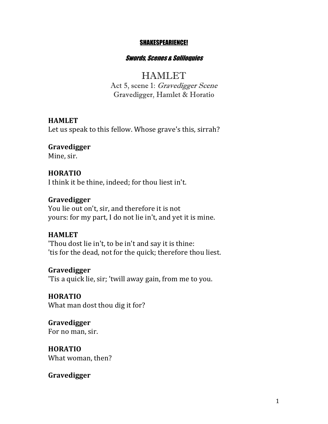#### SHAKESPEARIENCE!

#### Swords, Scenes & Soliloquies

# **HAMLET**

Act 5, scene 1: Gravedigger Scene Gravedigger, Hamlet & Horatio

#### **HAMLET**

Let us speak to this fellow. Whose grave's this, sirrah?

#### **Gravedigger**

Mine, sir.

#### **HORATIO**

I think it be thine, indeed; for thou liest in't.

#### **Gravedigger**

You lie out on't, sir, and therefore it is not yours: for my part, I do not lie in't, and yet it is mine.

#### **HAMLET**

'Thou dost lie in't, to be in't and say it is thine: 'tis for the dead, not for the quick; therefore thou liest.

#### **Gravedigger**

'Tis a quick lie, sir; 'twill away gain, from me to you.

### **HORATIO** What man dost thou dig it for?

**Gravedigger** For no man, sir.

**HORATIO** What woman, then?

#### **Gravedigger**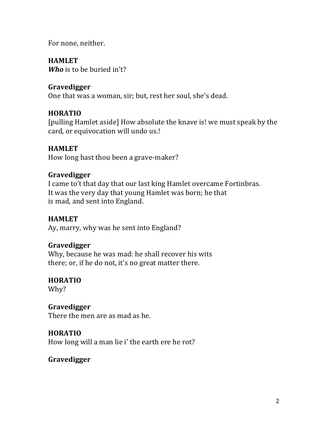For none, neither.

# **HAMLET**

*Who* is to be buried in't?

# **Gravedigger**

One that was a woman, sir; but, rest her soul, she's dead.

# **HORATIO**

[pulling Hamlet aside] How absolute the knave is! we must speak by the card, or equivocation will undo us.!

# **HAMLET**

How long hast thou been a grave-maker?

# **Gravedigger**

I came to't that day that our last king Hamlet overcame Fortinbras. It was the very day that young Hamlet was born; he that is mad, and sent into England.

# **HAMLET**

Ay, marry, why was he sent into England?

# **Gravedigger**

Why, because he was mad: he shall recover his wits there; or, if he do not, it's no great matter there.

# **HORATIO**

Why?

# **Gravedigger**

There the men are as mad as he.

# **HORATIO**

How long will a man lie i' the earth ere he rot?

# **Gravedigger**